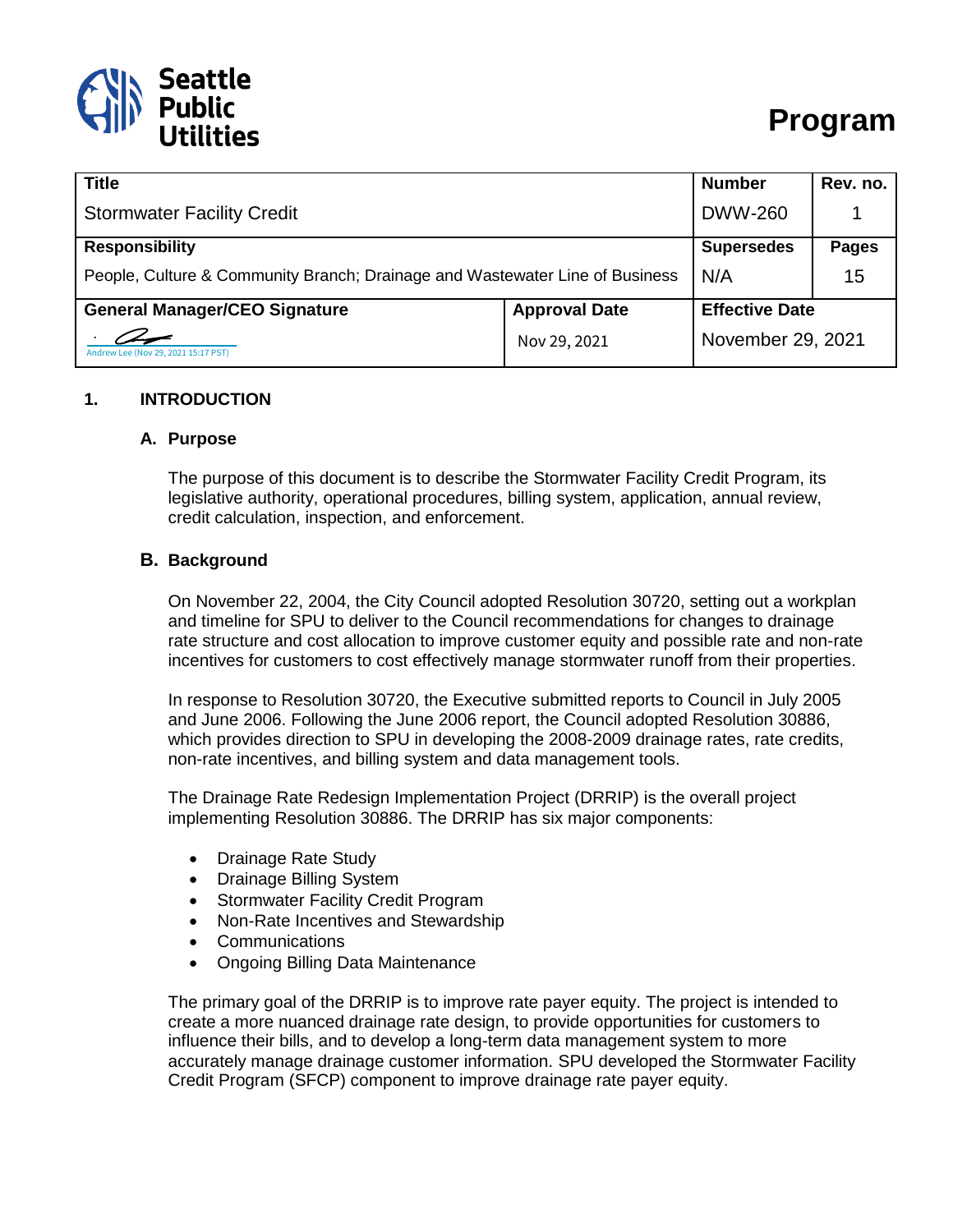

| <b>Title</b>                                                                 |                      | <b>Number</b>         | Rev. no.     |
|------------------------------------------------------------------------------|----------------------|-----------------------|--------------|
| <b>Stormwater Facility Credit</b>                                            |                      | <b>DWW-260</b>        |              |
| <b>Responsibility</b>                                                        |                      | <b>Supersedes</b>     | <b>Pages</b> |
| People, Culture & Community Branch; Drainage and Wastewater Line of Business |                      | N/A                   | 15           |
| <b>General Manager/CEO Signature</b>                                         | <b>Approval Date</b> | <b>Effective Date</b> |              |
| Andrew Lee (Nov 29, 2021 15:17 PST)                                          | Nov 29, 2021         | November 29, 2021     |              |

#### **1. INTRODUCTION**

#### **A. Purpose**

The purpose of this document is to describe the Stormwater Facility Credit Program, its legislative authority, operational procedures, billing system, application, annual review, credit calculation, inspection, and enforcement.

#### **B. Background**

On November 22, 2004, the City Council adopted Resolution 30720, setting out a workplan and timeline for SPU to deliver to the Council recommendations for changes to drainage rate structure and cost allocation to improve customer equity and possible rate and non-rate incentives for customers to cost effectively manage stormwater runoff from their properties.

In response to Resolution 30720, the Executive submitted reports to Council in July 2005 and June 2006. Following the June 2006 report, the Council adopted Resolution 30886, which provides direction to SPU in developing the 2008-2009 drainage rates, rate credits, non-rate incentives, and billing system and data management tools.

The Drainage Rate Redesign Implementation Project (DRRIP) is the overall project implementing Resolution 30886. The DRRIP has six major components:

- Drainage Rate Study
- Drainage Billing System
- Stormwater Facility Credit Program
- Non-Rate Incentives and Stewardship
- Communications
- Ongoing Billing Data Maintenance

The primary goal of the DRRIP is to improve rate payer equity. The project is intended to create a more nuanced drainage rate design, to provide opportunities for customers to influence their bills, and to develop a long-term data management system to more accurately manage drainage customer information. SPU developed the Stormwater Facility Credit Program (SFCP) component to improve drainage rate payer equity.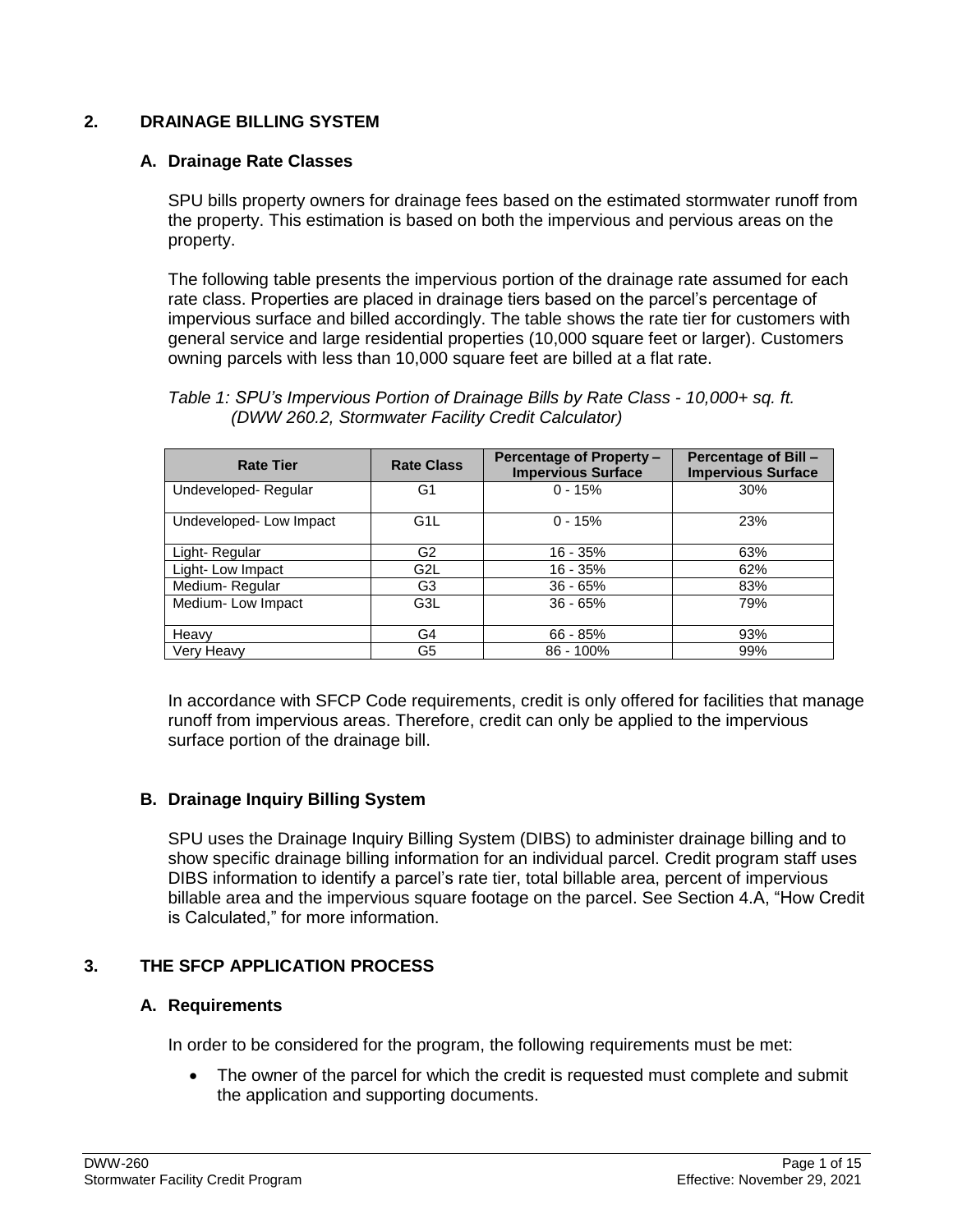## **2. DRAINAGE BILLING SYSTEM**

### **A. Drainage Rate Classes**

SPU bills property owners for drainage fees based on the estimated stormwater runoff from the property. This estimation is based on both the impervious and pervious areas on the property.

The following table presents the impervious portion of the drainage rate assumed for each rate class. Properties are placed in drainage tiers based on the parcel's percentage of impervious surface and billed accordingly. The table shows the rate tier for customers with general service and large residential properties (10,000 square feet or larger). Customers owning parcels with less than 10,000 square feet are billed at a flat rate.

| Table 1: SPU's Impervious Portion of Drainage Bills by Rate Class - 10,000+ sq. ft. |  |
|-------------------------------------------------------------------------------------|--|
| (DWW 260.2, Stormwater Facility Credit Calculator)                                  |  |

| <b>Rate Tier</b>       | <b>Rate Class</b> | Percentage of Property-<br><b>Impervious Surface</b> | <b>Percentage of Bill -</b><br><b>Impervious Surface</b> |
|------------------------|-------------------|------------------------------------------------------|----------------------------------------------------------|
| Undeveloped-Regular    | G <sub>1</sub>    | $0 - 15%$                                            | 30%                                                      |
| Undeveloped-Low Impact | G <sub>1</sub> L  | $0 - 15%$                                            | 23%                                                      |
| Light-Regular          | G <sub>2</sub>    | $16 - 35%$                                           | 63%                                                      |
| Light-Low Impact       | G <sub>2</sub> L  | $16 - 35%$                                           | 62%                                                      |
| Medium-Regular         | G3                | $36 - 65%$                                           | 83%                                                      |
| Medium-Low Impact      | G3L               | $36 - 65%$                                           | 79%                                                      |
| Heavy                  | G4                | $66 - 85%$                                           | 93%                                                      |
| Very Heavy             | G5                | $86 - 100%$                                          | 99%                                                      |

In accordance with SFCP Code requirements, credit is only offered for facilities that manage runoff from impervious areas. Therefore, credit can only be applied to the impervious surface portion of the drainage bill.

# **B. Drainage Inquiry Billing System**

SPU uses the Drainage Inquiry Billing System (DIBS) to administer drainage billing and to show specific drainage billing information for an individual parcel. Credit program staff uses DIBS information to identify a parcel's rate tier, total billable area, percent of impervious billable area and the impervious square footage on the parcel. See Section 4.A, "How Credit is Calculated," for more information.

# **3. THE SFCP APPLICATION PROCESS**

### **A. Requirements**

In order to be considered for the program, the following requirements must be met:

 The owner of the parcel for which the credit is requested must complete and submit the application and supporting documents.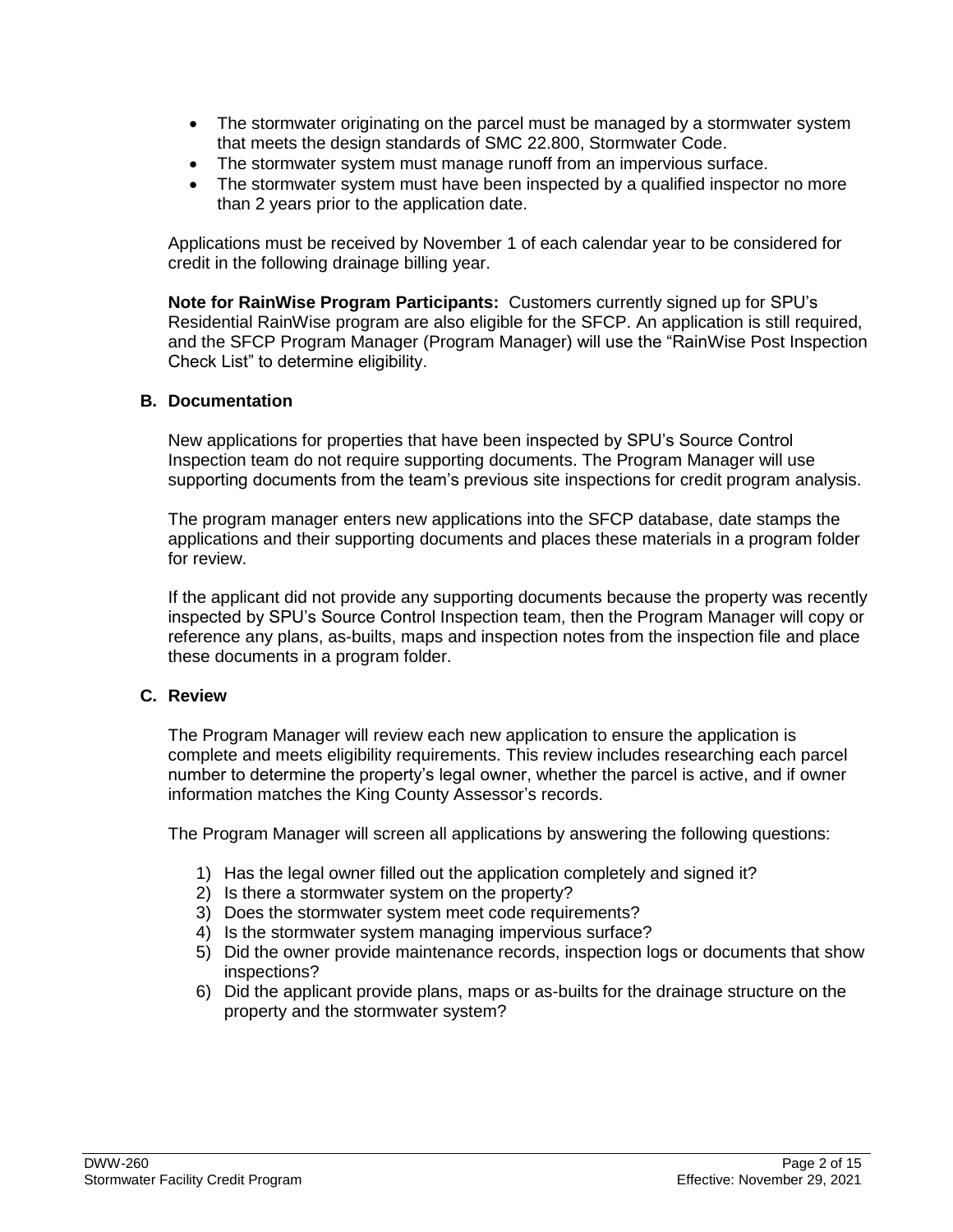- The stormwater originating on the parcel must be managed by a stormwater system that meets the design standards of SMC 22.800, Stormwater Code.
- The stormwater system must manage runoff from an impervious surface.
- The stormwater system must have been inspected by a qualified inspector no more than 2 years prior to the application date.

Applications must be received by November 1 of each calendar year to be considered for credit in the following drainage billing year.

**Note for RainWise Program Participants:** Customers currently signed up for SPU's Residential RainWise program are also eligible for the SFCP. An application is still required, and the SFCP Program Manager (Program Manager) will use the "RainWise Post Inspection Check List" to determine eligibility.

### **B. Documentation**

New applications for properties that have been inspected by SPU's Source Control Inspection team do not require supporting documents. The Program Manager will use supporting documents from the team's previous site inspections for credit program analysis.

The program manager enters new applications into the SFCP database, date stamps the applications and their supporting documents and places these materials in a program folder for review.

If the applicant did not provide any supporting documents because the property was recently inspected by SPU's Source Control Inspection team, then the Program Manager will copy or reference any plans, as-builts, maps and inspection notes from the inspection file and place these documents in a program folder.

### **C. Review**

The Program Manager will review each new application to ensure the application is complete and meets eligibility requirements. This review includes researching each parcel number to determine the property's legal owner, whether the parcel is active, and if owner information matches the King County Assessor's records.

The Program Manager will screen all applications by answering the following questions:

- 1) Has the legal owner filled out the application completely and signed it?
- 2) Is there a stormwater system on the property?
- 3) Does the stormwater system meet code requirements?
- 4) Is the stormwater system managing impervious surface?
- 5) Did the owner provide maintenance records, inspection logs or documents that show inspections?
- 6) Did the applicant provide plans, maps or as-builts for the drainage structure on the property and the stormwater system?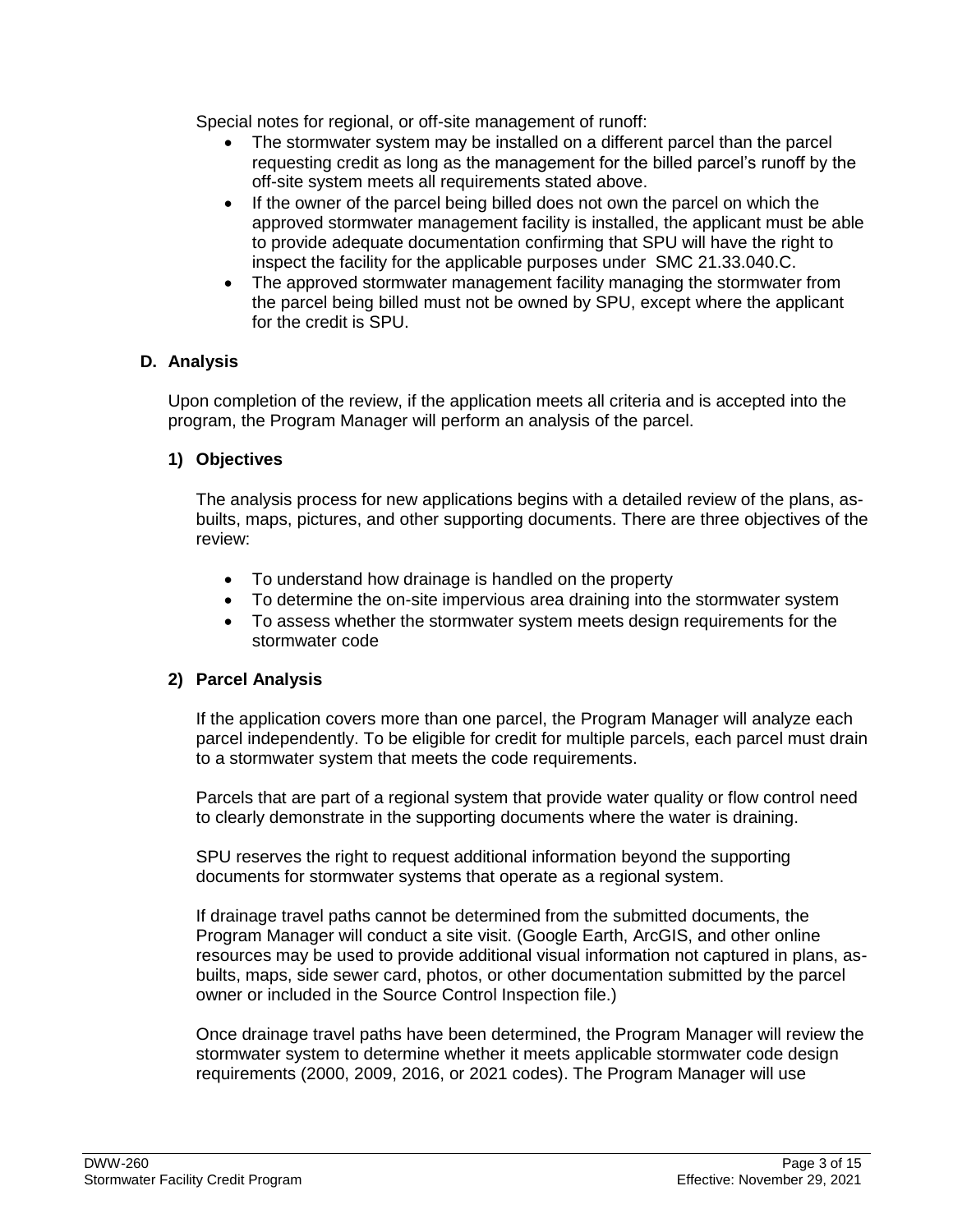Special notes for regional, or off-site management of runoff:

- The stormwater system may be installed on a different parcel than the parcel requesting credit as long as the management for the billed parcel's runoff by the off-site system meets all requirements stated above.
- If the owner of the parcel being billed does not own the parcel on which the approved stormwater management facility is installed, the applicant must be able to provide adequate documentation confirming that SPU will have the right to inspect the facility for the applicable purposes under SMC 21.33.040.C.
- The approved stormwater management facility managing the stormwater from the parcel being billed must not be owned by SPU, except where the applicant for the credit is SPU.

## **D. Analysis**

Upon completion of the review, if the application meets all criteria and is accepted into the program, the Program Manager will perform an analysis of the parcel.

## **1) Objectives**

The analysis process for new applications begins with a detailed review of the plans, asbuilts, maps, pictures, and other supporting documents. There are three objectives of the review:

- To understand how drainage is handled on the property
- To determine the on-site impervious area draining into the stormwater system
- To assess whether the stormwater system meets design requirements for the stormwater code

### **2) Parcel Analysis**

If the application covers more than one parcel, the Program Manager will analyze each parcel independently. To be eligible for credit for multiple parcels, each parcel must drain to a stormwater system that meets the code requirements.

Parcels that are part of a regional system that provide water quality or flow control need to clearly demonstrate in the supporting documents where the water is draining.

SPU reserves the right to request additional information beyond the supporting documents for stormwater systems that operate as a regional system.

If drainage travel paths cannot be determined from the submitted documents, the Program Manager will conduct a site visit. (Google Earth, ArcGIS, and other online resources may be used to provide additional visual information not captured in plans, asbuilts, maps, side sewer card, photos, or other documentation submitted by the parcel owner or included in the Source Control Inspection file.)

Once drainage travel paths have been determined, the Program Manager will review the stormwater system to determine whether it meets applicable stormwater code design requirements (2000, 2009, 2016, or 2021 codes). The Program Manager will use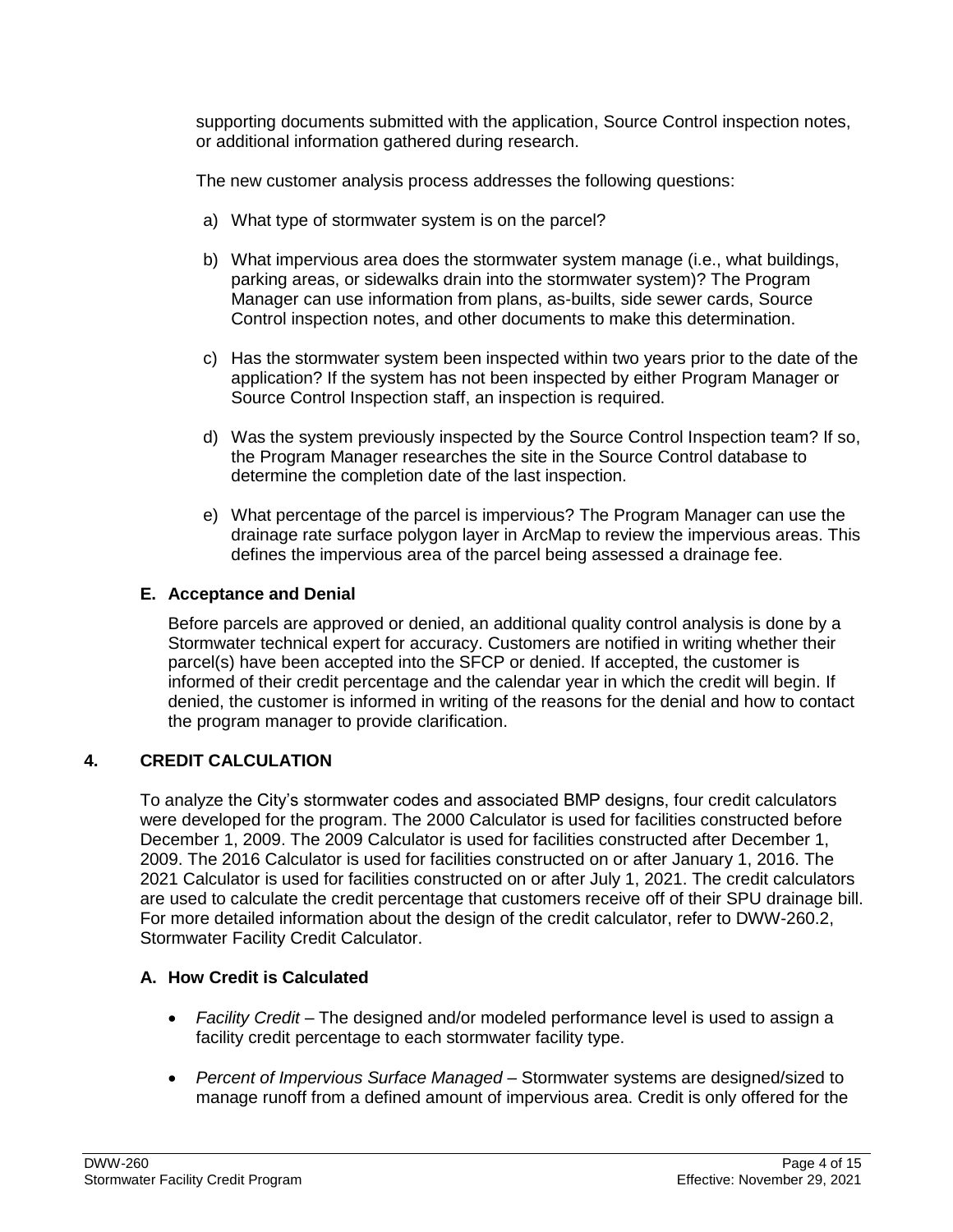supporting documents submitted with the application, Source Control inspection notes, or additional information gathered during research.

The new customer analysis process addresses the following questions:

- a) What type of stormwater system is on the parcel?
- b) What impervious area does the stormwater system manage (i.e., what buildings, parking areas, or sidewalks drain into the stormwater system)? The Program Manager can use information from plans, as-builts, side sewer cards, Source Control inspection notes, and other documents to make this determination.
- c) Has the stormwater system been inspected within two years prior to the date of the application? If the system has not been inspected by either Program Manager or Source Control Inspection staff, an inspection is required.
- d) Was the system previously inspected by the Source Control Inspection team? If so, the Program Manager researches the site in the Source Control database to determine the completion date of the last inspection.
- e) What percentage of the parcel is impervious? The Program Manager can use the drainage rate surface polygon layer in ArcMap to review the impervious areas. This defines the impervious area of the parcel being assessed a drainage fee.

# **E. Acceptance and Denial**

Before parcels are approved or denied, an additional quality control analysis is done by a Stormwater technical expert for accuracy. Customers are notified in writing whether their parcel(s) have been accepted into the SFCP or denied. If accepted, the customer is informed of their credit percentage and the calendar year in which the credit will begin. If denied, the customer is informed in writing of the reasons for the denial and how to contact the program manager to provide clarification.

# **4. CREDIT CALCULATION**

To analyze the City's stormwater codes and associated BMP designs, four credit calculators were developed for the program. The 2000 Calculator is used for facilities constructed before December 1, 2009. The 2009 Calculator is used for facilities constructed after December 1, 2009. The 2016 Calculator is used for facilities constructed on or after January 1, 2016. The 2021 Calculator is used for facilities constructed on or after July 1, 2021. The credit calculators are used to calculate the credit percentage that customers receive off of their SPU drainage bill. For more detailed information about the design of the credit calculator, refer to DWW-260.2, Stormwater Facility Credit Calculator.

# **A. How Credit is Calculated**

- *Facility Credit*  The designed and/or modeled performance level is used to assign a facility credit percentage to each stormwater facility type.
- *Percent of Impervious Surface Managed* Stormwater systems are designed/sized to manage runoff from a defined amount of impervious area. Credit is only offered for the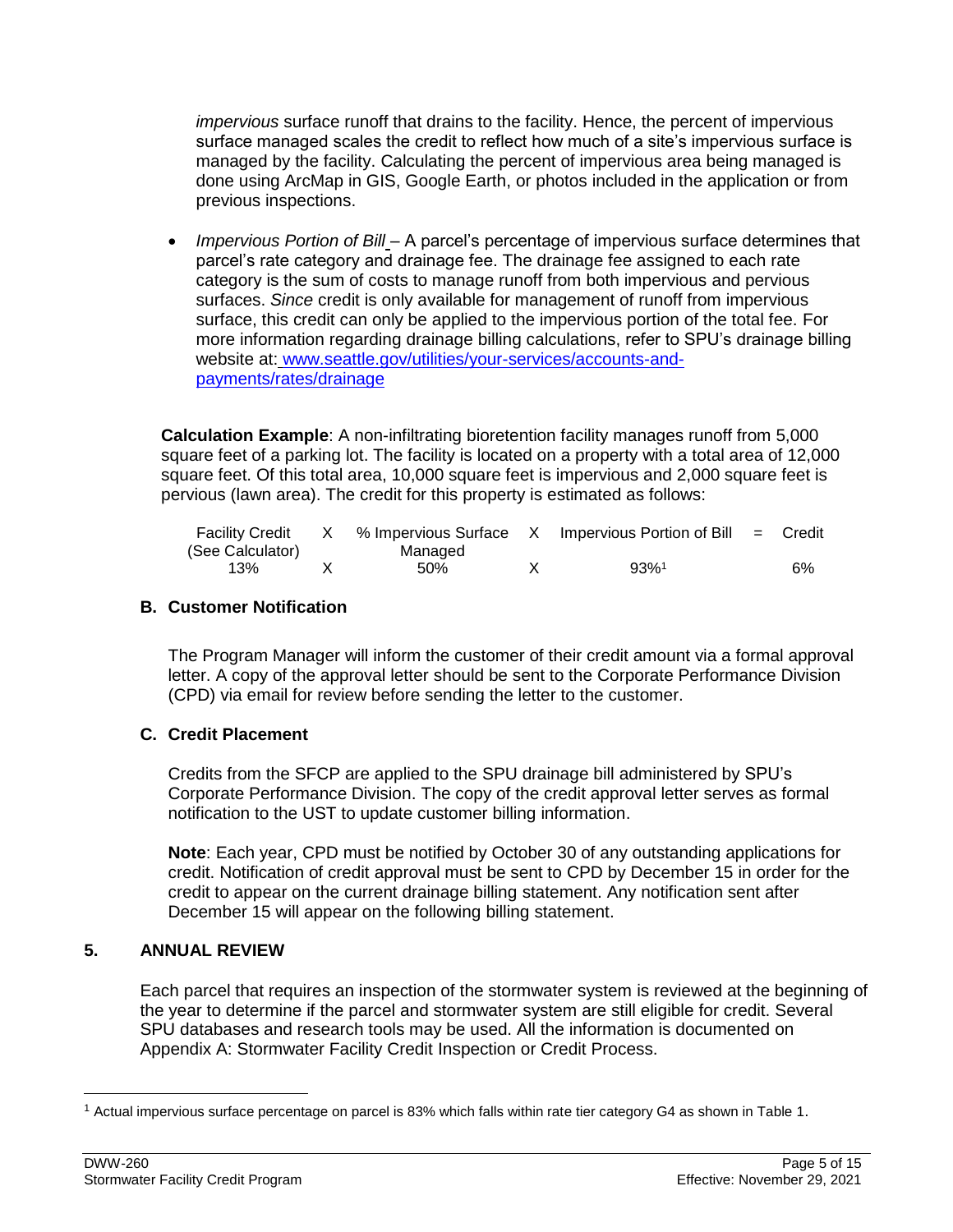*impervious* surface runoff that drains to the facility. Hence, the percent of impervious surface managed scales the credit to reflect how much of a site's impervious surface is managed by the facility. Calculating the percent of impervious area being managed is done using ArcMap in GIS, Google Earth, or photos included in the application or from previous inspections.

 *Impervious Portion of Bill* – A parcel's percentage of impervious surface determines that parcel's rate category and drainage fee. The drainage fee assigned to each rate category is the sum of costs to manage runoff from both impervious and pervious surfaces. *Since* credit is only available for management of runoff from impervious surface, this credit can only be applied to the impervious portion of the total fee. For more information regarding drainage billing calculations, refer to SPU's drainage billing website at: [www.seattle.gov/utilities/your-services/accounts-and](http://www.seattle.gov/utilities/your-services/accounts-and-payments/rates/drainage)[payments/rates/drainage](http://www.seattle.gov/utilities/your-services/accounts-and-payments/rates/drainage)

**Calculation Example**: A non-infiltrating bioretention facility manages runoff from 5,000 square feet of a parking lot. The facility is located on a property with a total area of 12,000 square feet. Of this total area, 10,000 square feet is impervious and 2,000 square feet is pervious (lawn area). The credit for this property is estimated as follows:

| <b>Facility Credit</b> |         | % Impervious Surface X Impervious Portion of Bill = Credit |    |
|------------------------|---------|------------------------------------------------------------|----|
| (See Calculator)       | Managed |                                                            |    |
| 13%                    | 50%     | $93%$ <sup>1</sup>                                         | 6% |

## **B. Customer Notification**

The Program Manager will inform the customer of their credit amount via a formal approval letter. A copy of the approval letter should be sent to the Corporate Performance Division (CPD) via email for review before sending the letter to the customer.

# **C. Credit Placement**

Credits from the SFCP are applied to the SPU drainage bill administered by SPU's Corporate Performance Division. The copy of the credit approval letter serves as formal notification to the UST to update customer billing information.

**Note**: Each year, CPD must be notified by October 30 of any outstanding applications for credit. Notification of credit approval must be sent to CPD by December 15 in order for the credit to appear on the current drainage billing statement. Any notification sent after December 15 will appear on the following billing statement.

# **5. ANNUAL REVIEW**

Each parcel that requires an inspection of the stormwater system is reviewed at the beginning of the year to determine if the parcel and stormwater system are still eligible for credit. Several SPU databases and research tools may be used. All the information is documented on Appendix A: Stormwater Facility Credit Inspection or Credit Process.

 $\overline{a}$ 

<sup>1</sup> Actual impervious surface percentage on parcel is 83% which falls within rate tier category G4 as shown in Table 1.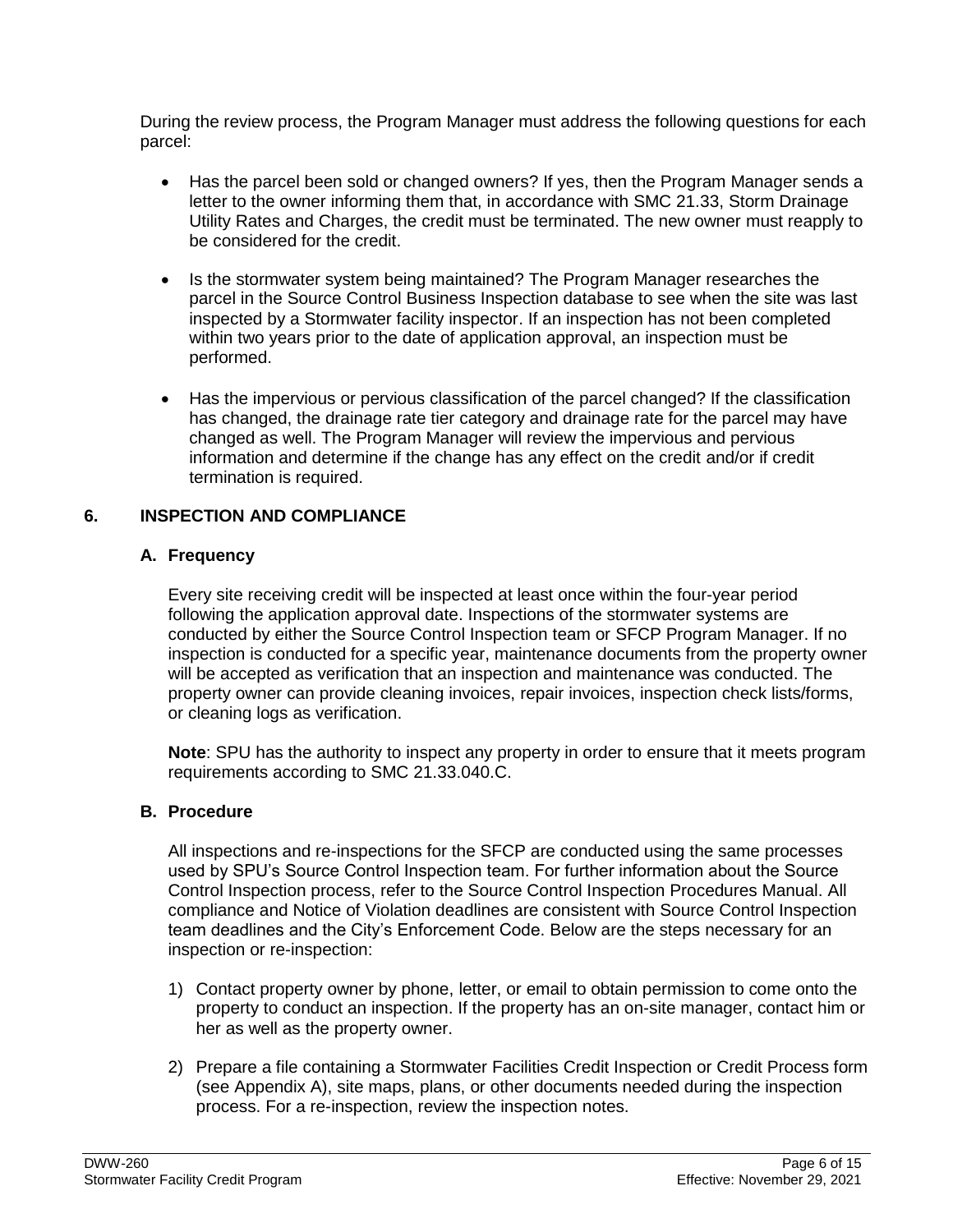During the review process, the Program Manager must address the following questions for each parcel:

- Has the parcel been sold or changed owners? If yes, then the Program Manager sends a letter to the owner informing them that, in accordance with SMC 21.33, Storm Drainage Utility Rates and Charges, the credit must be terminated. The new owner must reapply to be considered for the credit.
- Is the stormwater system being maintained? The Program Manager researches the parcel in the Source Control Business Inspection database to see when the site was last inspected by a Stormwater facility inspector. If an inspection has not been completed within two years prior to the date of application approval, an inspection must be performed.
- Has the impervious or pervious classification of the parcel changed? If the classification has changed, the drainage rate tier category and drainage rate for the parcel may have changed as well. The Program Manager will review the impervious and pervious information and determine if the change has any effect on the credit and/or if credit termination is required.

## **6. INSPECTION AND COMPLIANCE**

## **A. Frequency**

Every site receiving credit will be inspected at least once within the four-year period following the application approval date. Inspections of the stormwater systems are conducted by either the Source Control Inspection team or SFCP Program Manager. If no inspection is conducted for a specific year, maintenance documents from the property owner will be accepted as verification that an inspection and maintenance was conducted. The property owner can provide cleaning invoices, repair invoices, inspection check lists/forms, or cleaning logs as verification.

**Note**: SPU has the authority to inspect any property in order to ensure that it meets program requirements according to SMC 21.33.040.C.

# **B. Procedure**

All inspections and re-inspections for the SFCP are conducted using the same processes used by SPU's Source Control Inspection team. For further information about the Source Control Inspection process, refer to the Source Control Inspection Procedures Manual. All compliance and Notice of Violation deadlines are consistent with Source Control Inspection team deadlines and the City's Enforcement Code. Below are the steps necessary for an inspection or re-inspection:

- 1) Contact property owner by phone, letter, or email to obtain permission to come onto the property to conduct an inspection. If the property has an on-site manager, contact him or her as well as the property owner.
- 2) Prepare a file containing a Stormwater Facilities Credit Inspection or Credit Process form (see Appendix A), site maps, plans, or other documents needed during the inspection process. For a re-inspection, review the inspection notes.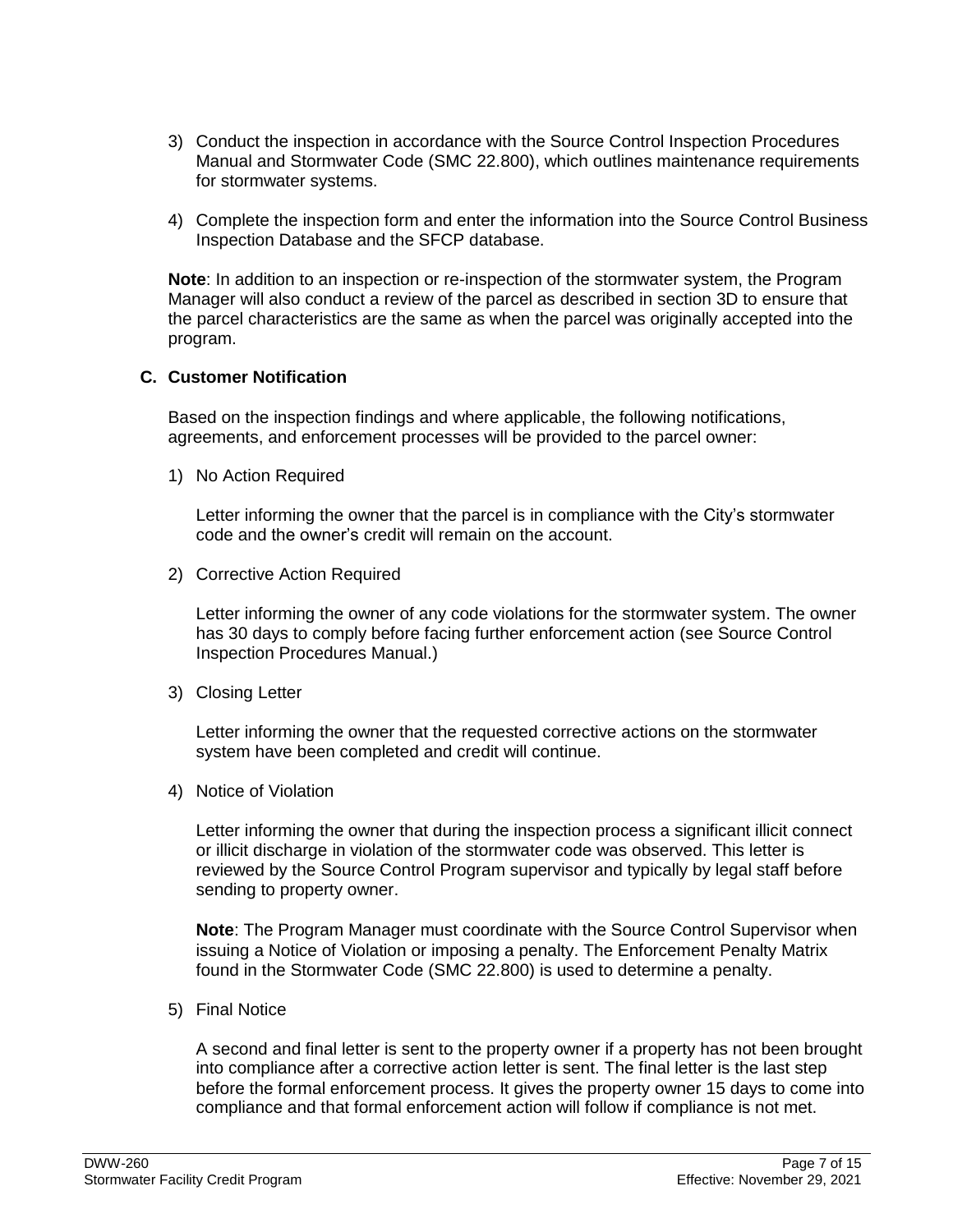- 3) Conduct the inspection in accordance with the Source Control Inspection Procedures Manual and Stormwater Code (SMC 22.800), which outlines maintenance requirements for stormwater systems.
- 4) Complete the inspection form and enter the information into the Source Control Business Inspection Database and the SFCP database.

**Note**: In addition to an inspection or re-inspection of the stormwater system, the Program Manager will also conduct a review of the parcel as described in section 3D to ensure that the parcel characteristics are the same as when the parcel was originally accepted into the program.

### **C. Customer Notification**

Based on the inspection findings and where applicable, the following notifications, agreements, and enforcement processes will be provided to the parcel owner:

1) No Action Required

Letter informing the owner that the parcel is in compliance with the City's stormwater code and the owner's credit will remain on the account.

2) Corrective Action Required

Letter informing the owner of any code violations for the stormwater system. The owner has 30 days to comply before facing further enforcement action (see Source Control Inspection Procedures Manual.)

3) Closing Letter

Letter informing the owner that the requested corrective actions on the stormwater system have been completed and credit will continue.

4) Notice of Violation

Letter informing the owner that during the inspection process a significant illicit connect or illicit discharge in violation of the stormwater code was observed. This letter is reviewed by the Source Control Program supervisor and typically by legal staff before sending to property owner.

**Note**: The Program Manager must coordinate with the Source Control Supervisor when issuing a Notice of Violation or imposing a penalty. The Enforcement Penalty Matrix found in the Stormwater Code (SMC 22.800) is used to determine a penalty.

5) Final Notice

A second and final letter is sent to the property owner if a property has not been brought into compliance after a corrective action letter is sent. The final letter is the last step before the formal enforcement process. It gives the property owner 15 days to come into compliance and that formal enforcement action will follow if compliance is not met.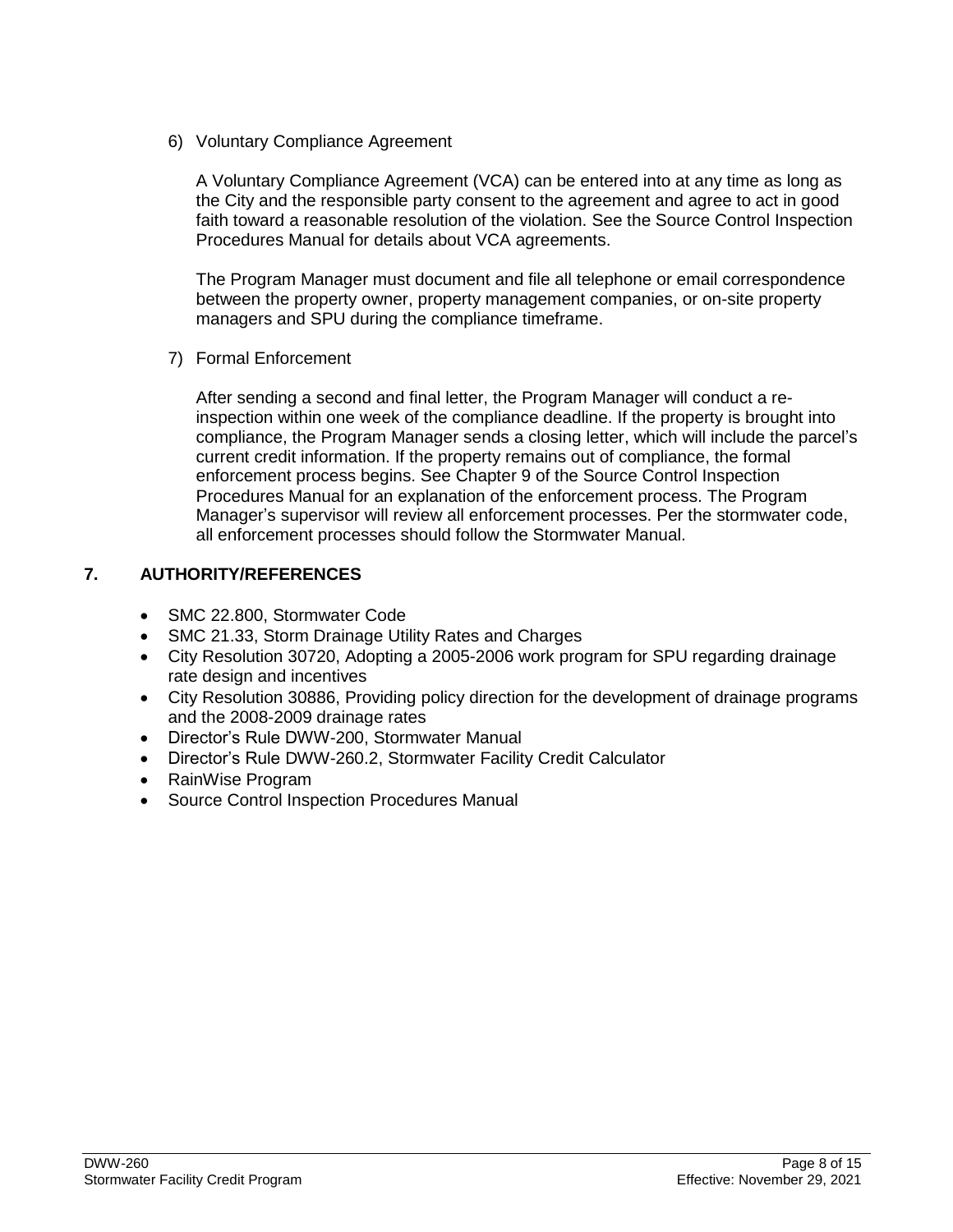6) Voluntary Compliance Agreement

A Voluntary Compliance Agreement (VCA) can be entered into at any time as long as the City and the responsible party consent to the agreement and agree to act in good faith toward a reasonable resolution of the violation. See the Source Control Inspection Procedures Manual for details about VCA agreements.

The Program Manager must document and file all telephone or email correspondence between the property owner, property management companies, or on-site property managers and SPU during the compliance timeframe.

7) Formal Enforcement

After sending a second and final letter, the Program Manager will conduct a reinspection within one week of the compliance deadline. If the property is brought into compliance, the Program Manager sends a closing letter, which will include the parcel's current credit information. If the property remains out of compliance, the formal enforcement process begins. See Chapter 9 of the Source Control Inspection Procedures Manual for an explanation of the enforcement process. The Program Manager's supervisor will review all enforcement processes. Per the stormwater code, all enforcement processes should follow the Stormwater Manual.

# **7. AUTHORITY/REFERENCES**

- SMC 22.800, Stormwater Code
- SMC 21.33, Storm Drainage Utility Rates and Charges
- City Resolution 30720, Adopting a 2005-2006 work program for SPU regarding drainage rate design and incentives
- City Resolution 30886, Providing policy direction for the development of drainage programs and the 2008-2009 drainage rates
- Director's Rule DWW-200, Stormwater Manual
- Director's Rule DWW-260.2, Stormwater Facility Credit Calculator
- RainWise Program
- Source Control Inspection Procedures Manual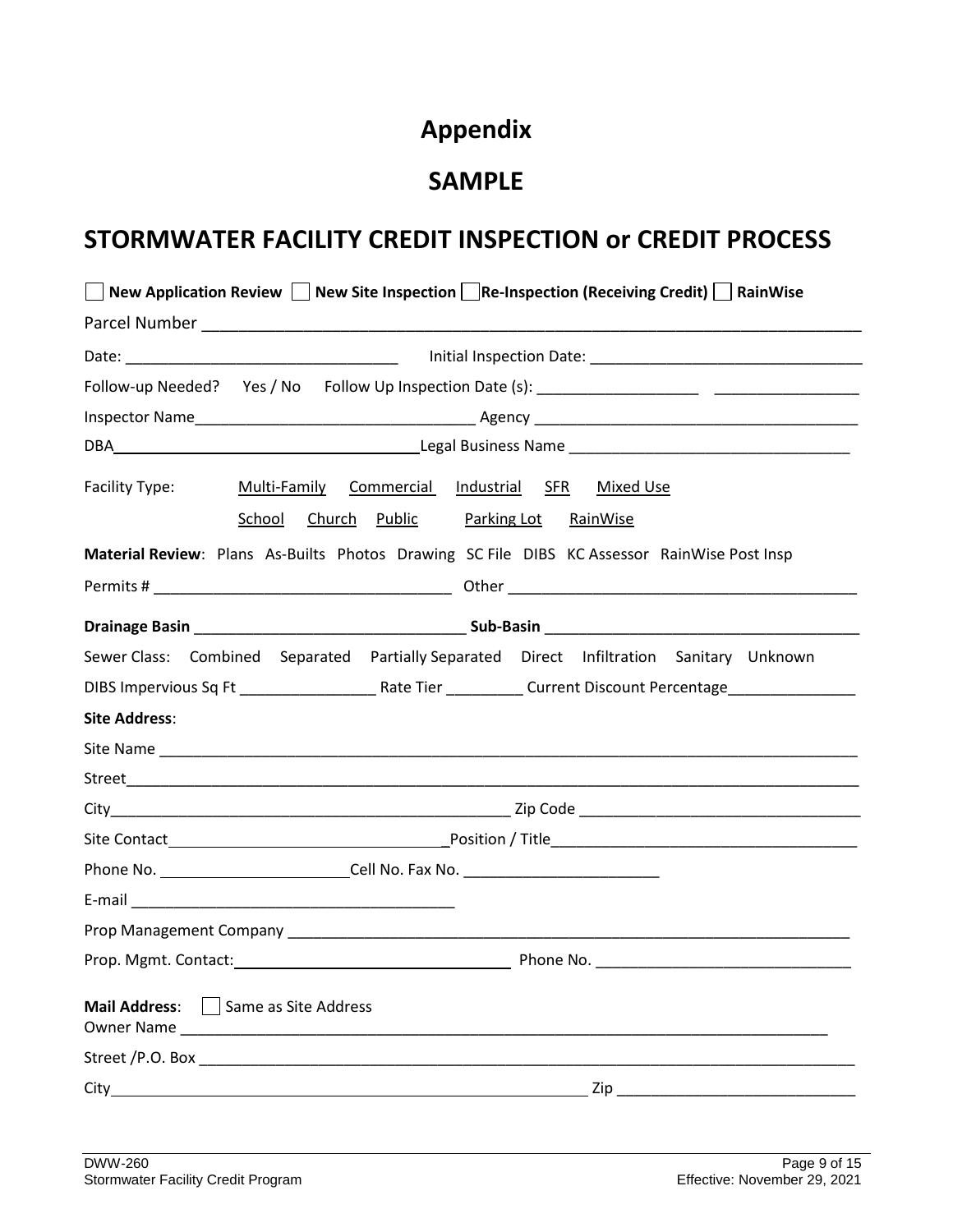# **Appendix**

# **SAMPLE**

# **STORMWATER FACILITY CREDIT INSPECTION or CREDIT PROCESS**

|                      | New Application Review   New Site Inspection   Re-Inspection (Receiving Credit)   RainWise    |  |  |  |  |
|----------------------|-----------------------------------------------------------------------------------------------|--|--|--|--|
|                      |                                                                                               |  |  |  |  |
|                      |                                                                                               |  |  |  |  |
|                      |                                                                                               |  |  |  |  |
|                      |                                                                                               |  |  |  |  |
|                      |                                                                                               |  |  |  |  |
| Facility Type:       | Multi-Family Commercial Industrial SFR Mixed Use<br>School Church Public Parking Lot RainWise |  |  |  |  |
|                      | Material Review: Plans As-Builts Photos Drawing SC File DIBS KC Assessor RainWise Post Insp   |  |  |  |  |
|                      |                                                                                               |  |  |  |  |
|                      |                                                                                               |  |  |  |  |
|                      | Sewer Class: Combined Separated Partially Separated Direct Infiltration Sanitary Unknown      |  |  |  |  |
|                      |                                                                                               |  |  |  |  |
| <b>Site Address:</b> |                                                                                               |  |  |  |  |
|                      |                                                                                               |  |  |  |  |
|                      |                                                                                               |  |  |  |  |
|                      |                                                                                               |  |  |  |  |
|                      |                                                                                               |  |  |  |  |
|                      | Phone No. ________________________________Cell No. Fax No. ______________________             |  |  |  |  |
|                      |                                                                                               |  |  |  |  |
|                      |                                                                                               |  |  |  |  |
|                      |                                                                                               |  |  |  |  |
| <b>Mail Address:</b> | Same as Site Address<br>Owner Name                                                            |  |  |  |  |
|                      |                                                                                               |  |  |  |  |
|                      | Zip                                                                                           |  |  |  |  |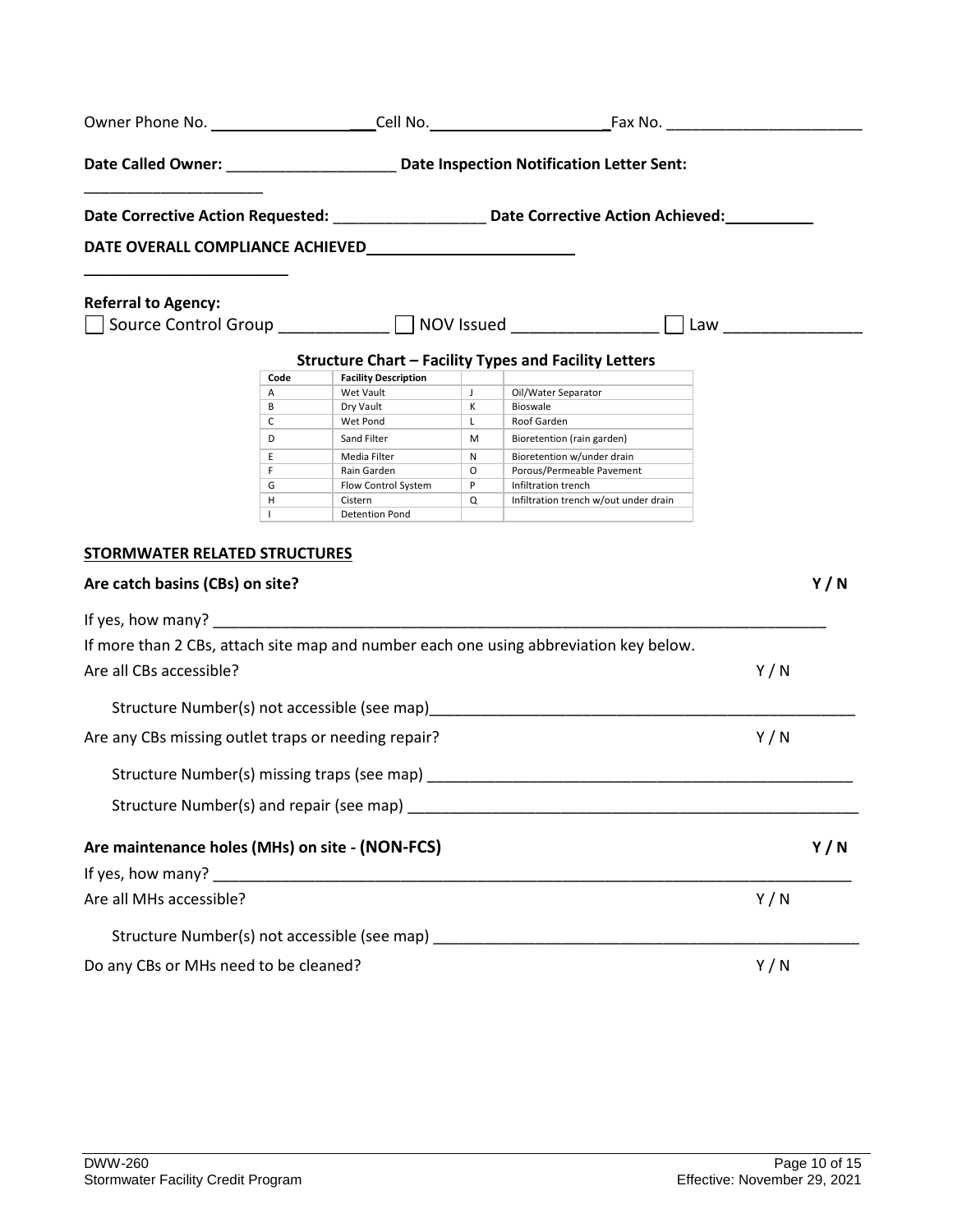|                                                                                  |                   |                                |              | Date Corrective Action Requested: _____________________ Date Corrective Action Achieved: _________ |     |     |
|----------------------------------------------------------------------------------|-------------------|--------------------------------|--------------|----------------------------------------------------------------------------------------------------|-----|-----|
|                                                                                  |                   |                                |              |                                                                                                    |     |     |
| <b>Referral to Agency:</b>                                                       |                   |                                |              |                                                                                                    |     |     |
| Source Control Group ___________ MOV Issued ______________ D Law _______________ |                   |                                |              |                                                                                                    |     |     |
|                                                                                  |                   |                                |              | <b>Structure Chart - Facility Types and Facility Letters</b>                                       |     |     |
|                                                                                  | Code              | <b>Facility Description</b>    |              |                                                                                                    |     |     |
|                                                                                  | Α                 | Wet Vault                      | $\mathsf{J}$ | Oil/Water Separator                                                                                |     |     |
|                                                                                  | B                 | Dry Vault                      | к            | Bioswale                                                                                           |     |     |
|                                                                                  | C                 | Wet Pond                       | L.           | Roof Garden                                                                                        |     |     |
|                                                                                  | D                 | Sand Filter                    | M            | Bioretention (rain garden)                                                                         |     |     |
|                                                                                  | E                 | Media Filter                   | N            | Bioretention w/under drain                                                                         |     |     |
|                                                                                  | F.                | Rain Garden                    | $\circ$      | Porous/Permeable Pavement                                                                          |     |     |
|                                                                                  | G                 | Flow Control System<br>Cistern | P            | Infiltration trench                                                                                |     |     |
|                                                                                  | н<br>$\mathbf{I}$ | <b>Detention Pond</b>          | Q            | Infiltration trench w/out under drain                                                              |     |     |
|                                                                                  |                   |                                |              |                                                                                                    |     |     |
| <b>STORMWATER RELATED STRUCTURES</b>                                             |                   |                                |              |                                                                                                    |     |     |
| Are catch basins (CBs) on site?                                                  |                   |                                |              |                                                                                                    |     | Y/N |
|                                                                                  |                   |                                |              |                                                                                                    |     |     |
|                                                                                  |                   |                                |              | If more than 2 CBs, attach site map and number each one using abbreviation key below.              |     |     |
| Are all CBs accessible?                                                          |                   |                                |              |                                                                                                    | Y/N |     |
|                                                                                  |                   |                                |              | Structure Number(s) not accessible (see map) example and accessible (see map)                      |     |     |
| Are any CBs missing outlet traps or needing repair?                              |                   |                                |              |                                                                                                    | Y/N |     |
|                                                                                  |                   |                                |              |                                                                                                    |     |     |
|                                                                                  |                   |                                |              |                                                                                                    |     |     |
| Are maintenance holes (MHs) on site - (NON-FCS)                                  |                   |                                |              |                                                                                                    |     | Y/N |
|                                                                                  |                   |                                |              |                                                                                                    |     |     |
| Are all MHs accessible?                                                          |                   |                                |              |                                                                                                    | Y/N |     |
|                                                                                  |                   |                                |              | Structure Number(s) not accessible (see map) ___________________________________                   |     |     |
| Do any CBs or MHs need to be cleaned?                                            |                   |                                |              |                                                                                                    | Y/N |     |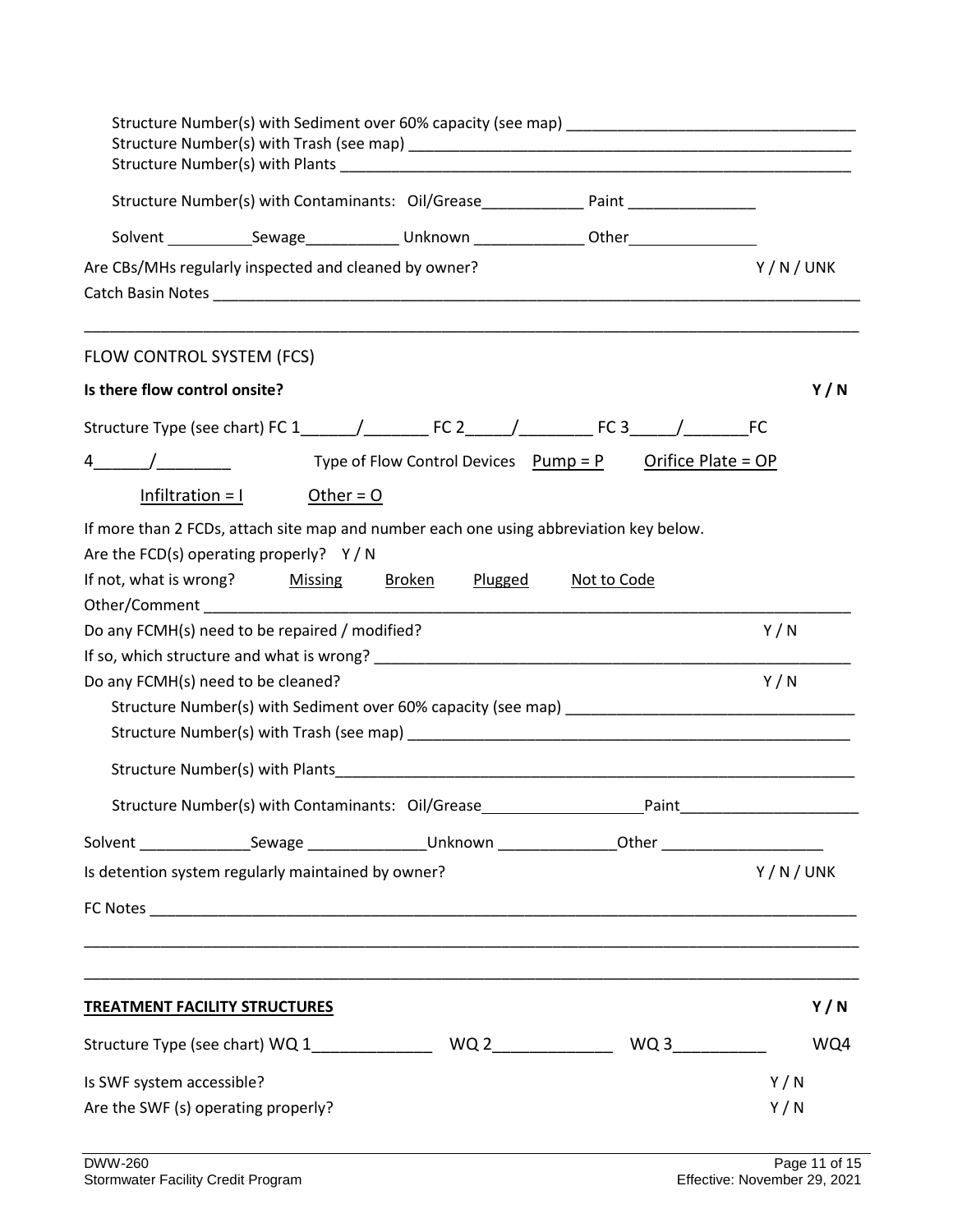| Structure Number(s) with Contaminants: Oil/Grease________________ Paint _______________                                 |         |
|-------------------------------------------------------------------------------------------------------------------------|---------|
| Solvent ______________Sewage_________________Unknown ___________________Other______________________                     |         |
| Are CBs/MHs regularly inspected and cleaned by owner?                                                                   | Y/N/UNK |
|                                                                                                                         |         |
| FLOW CONTROL SYSTEM (FCS)                                                                                               |         |
| Is there flow control onsite?                                                                                           | Y/N     |
|                                                                                                                         |         |
| Type of Flow Control Devices $Pump = P$ Orifice Plate = OP<br>4 /                                                       |         |
| $Infiltration = 1$ Other = 0                                                                                            |         |
| If more than 2 FCDs, attach site map and number each one using abbreviation key below.                                  |         |
| Are the FCD(s) operating properly? $Y/N$                                                                                |         |
| If not, what is wrong? Missing<br><u>Broken</u><br><u>Plugged</u><br>Not to Code                                        |         |
|                                                                                                                         |         |
| Do any FCMH(s) need to be repaired / modified?                                                                          | Y/N     |
|                                                                                                                         |         |
| Do any FCMH(s) need to be cleaned?                                                                                      | Y/N     |
|                                                                                                                         |         |
|                                                                                                                         |         |
| Structure Number(s) with Plants <b>Example 2018</b> 2019 12:00:00 12:00:00 12:00:00 12:00:00 12:00:00 12:00:00 12:00:00 |         |
| Structure Number(s) with Contaminants: Oil/Grease<br>Paint                                                              |         |
| Solvent __________________Sewage ___________________Unknown __________________Other ______________________              |         |
| Is detention system regularly maintained by owner?                                                                      | Y/N/UNK |
|                                                                                                                         |         |
|                                                                                                                         |         |
|                                                                                                                         |         |
| <b>TREATMENT FACILITY STRUCTURES</b>                                                                                    | Y/N     |
|                                                                                                                         | WQ4     |
| Is SWF system accessible?                                                                                               | Y/N     |
| Are the SWF (s) operating properly?                                                                                     | Y/N     |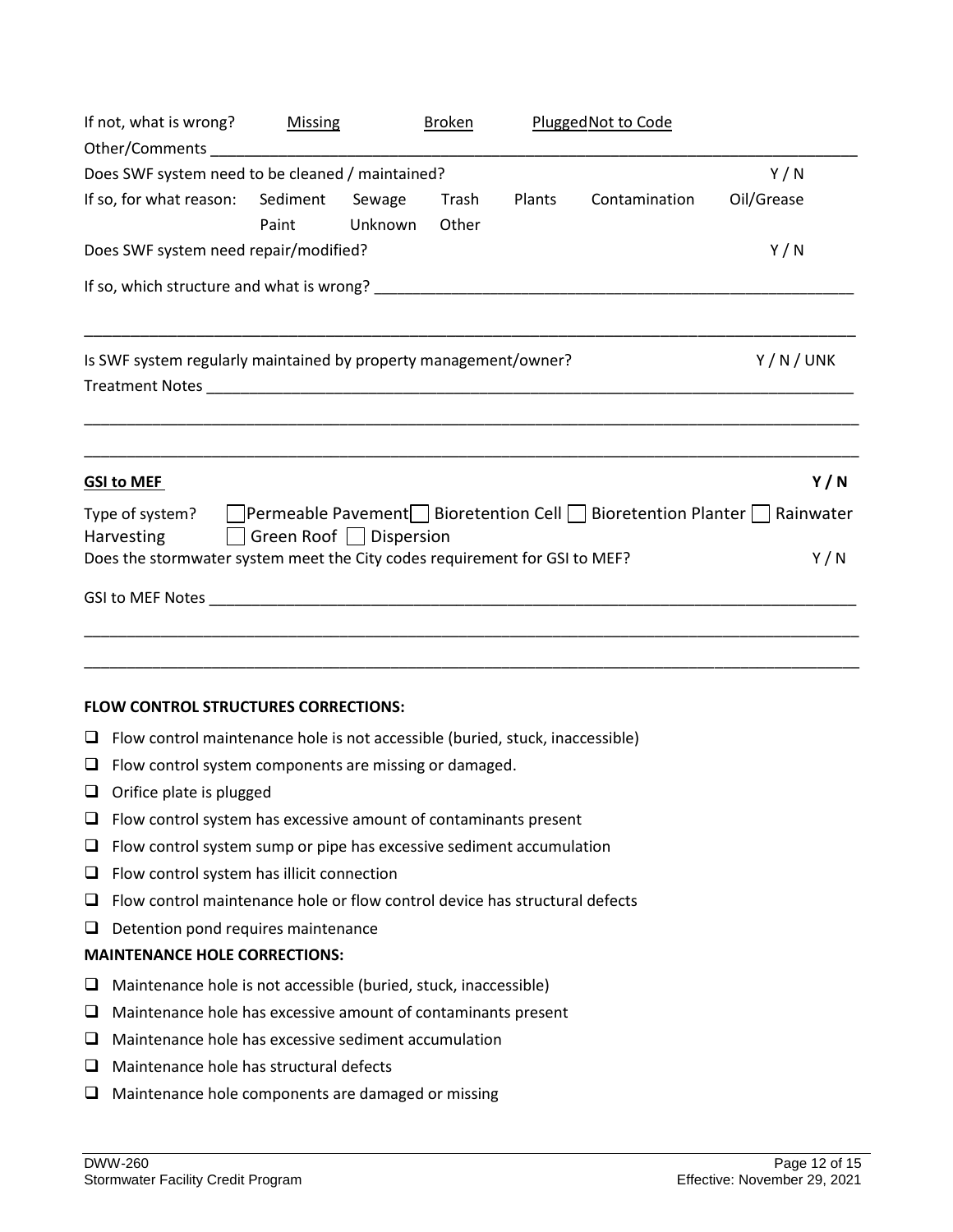| If not, what is wrong? Missing<br>Other/Comments experiences and the contract of the contract of the contract of the contract of the contract of |                       |                   | <b>Broken</b>  |        | Plugged Not to Code |            |
|--------------------------------------------------------------------------------------------------------------------------------------------------|-----------------------|-------------------|----------------|--------|---------------------|------------|
| Does SWF system need to be cleaned / maintained?                                                                                                 |                       |                   |                |        |                     | Y/N        |
| If so, for what reason: Sediment                                                                                                                 | Paint                 | Sewage<br>Unknown | Trash<br>Other | Plants | Contamination       | Oil/Grease |
| Does SWF system need repair/modified?                                                                                                            |                       |                   |                |        |                     | Y/N        |
|                                                                                                                                                  |                       |                   |                |        |                     |            |
| Is SWF system regularly maintained by property management/owner?                                                                                 |                       |                   |                |        |                     | Y/N/UNK    |
| <b>GSI to MEF</b>                                                                                                                                |                       |                   |                |        |                     | Y/N        |
| Type of system?   Permeable Pavement   Bioretention Cell   Bioretention Planter   Rainwater<br><b>Harvesting</b>                                 | Green Roof Dispersion |                   |                |        |                     |            |
| Does the stormwater system meet the City codes requirement for GSI to MEF?                                                                       |                       |                   |                |        |                     | Y/N        |
|                                                                                                                                                  |                       |                   |                |        |                     |            |
|                                                                                                                                                  |                       |                   |                |        |                     |            |

#### **FLOW CONTROL STRUCTURES CORRECTIONS:**

- $\Box$  Flow control maintenance hole is not accessible (buried, stuck, inaccessible)
- $\Box$  Flow control system components are missing or damaged.
- $\Box$  Orifice plate is plugged
- $\Box$  Flow control system has excessive amount of contaminants present
- $\Box$  Flow control system sump or pipe has excessive sediment accumulation
- $\Box$  Flow control system has illicit connection
- $\Box$  Flow control maintenance hole or flow control device has structural defects
- $\Box$  Detention pond requires maintenance

# **MAINTENANCE HOLE CORRECTIONS:**

- $\Box$  Maintenance hole is not accessible (buried, stuck, inaccessible)
- $\Box$  Maintenance hole has excessive amount of contaminants present
- $\Box$  Maintenance hole has excessive sediment accumulation
- $\Box$  Maintenance hole has structural defects
- $\Box$  Maintenance hole components are damaged or missing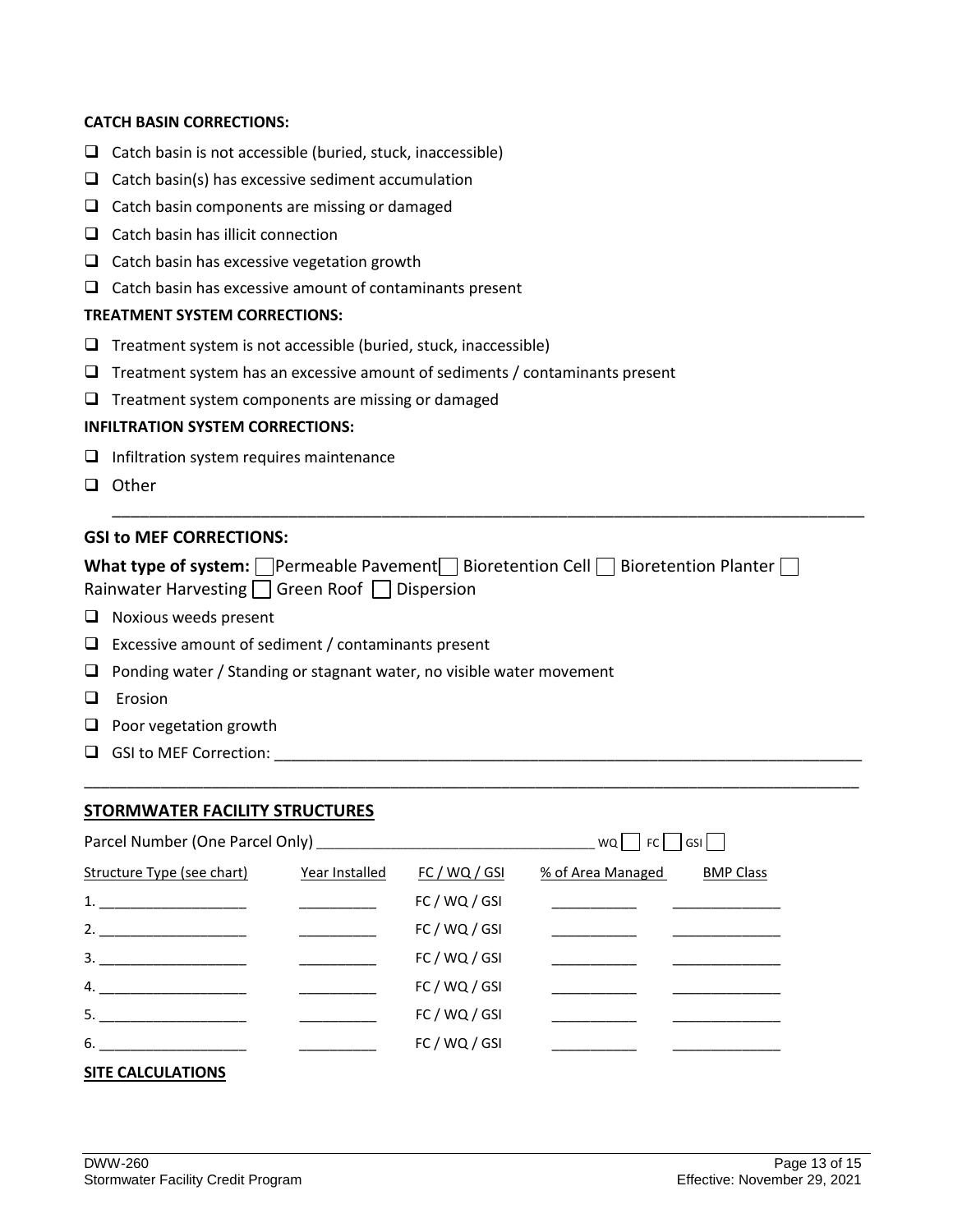#### **CATCH BASIN CORRECTIONS:**

- $\Box$  Catch basin is not accessible (buried, stuck, inaccessible)
- $\Box$  Catch basin(s) has excessive sediment accumulation
- $\Box$  Catch basin components are missing or damaged
- $\Box$  Catch basin has illicit connection
- $\Box$  Catch basin has excessive vegetation growth
- $\Box$  Catch basin has excessive amount of contaminants present

#### **TREATMENT SYSTEM CORRECTIONS:**

- $\Box$  Treatment system is not accessible (buried, stuck, inaccessible)
- $\Box$  Treatment system has an excessive amount of sediments / contaminants present
- $\Box$  Treatment system components are missing or damaged

#### **INFILTRATION SYSTEM CORRECTIONS:**

- $\Box$  Infiltration system requires maintenance
- □ Other

#### **GSI to MEF CORRECTIONS:**

| What type of system: $\Box$ Permeable Pavement $\Box$ Bioretention Cell $\Box$ Bioretention Planter $\Box$ |
|------------------------------------------------------------------------------------------------------------|
| Rainwater Harvesting $\Box$ Green Roof $\Box$ Dispersion                                                   |

\_\_\_\_\_\_\_\_\_\_\_\_\_\_\_\_\_\_\_\_\_\_\_\_\_\_\_\_\_\_\_\_\_\_\_\_\_\_\_\_\_\_\_\_\_\_\_\_\_\_\_\_\_\_\_\_\_\_\_\_\_\_\_\_\_\_\_\_\_\_\_\_\_\_\_\_\_\_\_\_\_

\_\_\_\_\_\_\_\_\_\_\_\_\_\_\_\_\_\_\_\_\_\_\_\_\_\_\_\_\_\_\_\_\_\_\_\_\_\_\_\_\_\_\_\_\_\_\_\_\_\_\_\_\_\_\_\_\_\_\_\_\_\_\_\_\_\_\_\_\_\_\_\_\_\_\_\_\_\_\_\_\_\_\_\_\_\_\_\_\_\_\_

- $\Box$  Noxious weeds present
- $\Box$  Excessive amount of sediment / contaminants present
- $\Box$  Ponding water / Standing or stagnant water, no visible water movement
- $\Box$  Erosion
- $\Box$  Poor vegetation growth
- GSI to MEF Correction: \_\_\_\_\_\_\_\_\_\_\_\_\_\_\_\_\_\_\_\_\_\_\_\_\_\_\_\_\_\_\_\_\_\_\_\_\_\_\_\_\_\_\_\_\_\_\_\_\_\_\_\_\_\_\_\_\_\_\_\_\_\_\_\_\_\_\_\_\_

#### **STORMWATER FACILITY STRUCTURES**

|                                   |                |               | WQ                | FC   GSI         |
|-----------------------------------|----------------|---------------|-------------------|------------------|
| <b>Structure Type (see chart)</b> | Year Installed | FC / WQ / GSI | % of Area Managed | <b>BMP Class</b> |
|                                   |                | FC / WQ / GSI |                   |                  |
|                                   |                | FC / WQ / GSI |                   |                  |
| 3.                                |                | FC/WQ/GSI     |                   |                  |
| $\overline{4}$ .                  |                | FC / WQ / GSI |                   |                  |
| 5.                                |                | FC / WQ / GSI |                   |                  |
| $6.$ $\qquad \qquad$              |                | FC / WQ / GSI |                   |                  |
|                                   |                |               |                   |                  |

### **SITE CALCULATIONS**